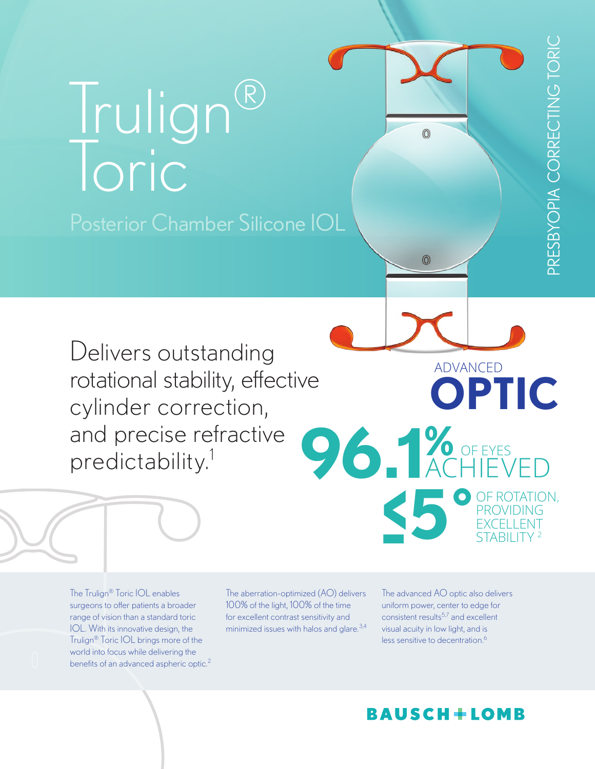# Trulign® Toric Posterior Chamber Silicone IOL

**96.1%** ACHIEVED Delivers outstanding rotational stability, effective cylinder correction, and precise refractive predictability.1

The Trulign® Toric IOL enables surgeons to offer patients a broader range of vision than a standard toric IOL. With its innovative design, the Trulign® Toric IOL brings more of the world into focus while delivering the benefits of an advanced aspheric optic.<sup>2</sup>

The aberration-optimized (AO) delivers 100% of the light, 100% of the time for excellent contrast sensitivity and minimized issues with halos and glare. $3,4$  The advanced AO optic also delivers uniform power, center to edge for consistent results<sup>5,7</sup> and excellent visual acuity in low light, and is less sensitive to decentration.<sup>6</sup>

**-5˚**

 $\odot$ 

 $\circledcirc$ 

**<**

OF ROTATION, PROVIDING EXCELLENT STABILITY <sup>2</sup>

OF EYES

**OPTIC**

ADVANCED

# **BAUSCH+LOMB**